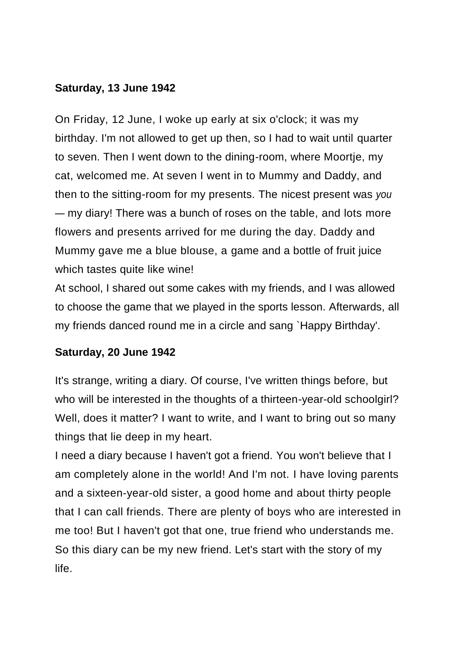#### **Saturday, 13 June 1942**

On Friday, 12 June, I woke up early at six o'clock; it was my birthday. I'm not allowed to get up then, so I had to wait until quarter to seven. Then I went down to the dining-room, where Moortje, my cat, welcomed me. At seven I went in to Mummy and Daddy, and then to the sitting-room for my presents. The nicest present was *you —* my diary! There was a bunch of roses on the table, and lots more flowers and presents arrived for me during the day. Daddy and Mummy gave me a blue blouse, a game and a bottle of fruit juice which tastes quite like wine!

At school, I shared out some cakes with my friends, and I was allowed to choose the game that we played in the sports lesson. Afterwards, all my friends danced round me in a circle and sang `Happy Birthday'.

### **Saturday, 20 June 1942**

It's strange, writing a diary. Of course, I've written things before, but who will be interested in the thoughts of a thirteen-year-old schoolgirl? Well, does it matter? I want to write, and I want to bring out so many things that lie deep in my heart.

I need a diary because I haven't got a friend. You won't believe that I am completely alone in the world! And I'm not. I have loving parents and a sixteen-year-old sister, a good home and about thirty people that I can call friends. There are plenty of boys who are interested in me too! But I haven't got that one, true friend who understands me. So this diary can be my new friend. Let's start with the story of my life.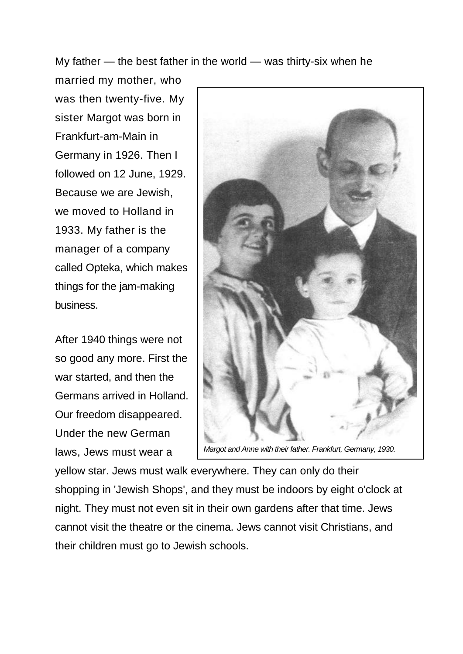My father — the best father in the world — was thirty-six when he

married my mother, who was then twenty-five. My sister Margot was born in Frankfurt-am-Main in Germany in 1926. Then I followed on 12 June, 1929. Because we are Jewish, we moved to Holland in 1933. My father is the manager of a company called Opteka, which makes things for the jam-making business.

After 1940 things were not so good any more. First the war started, and then the Germans arrived in Holland. Our freedom disappeared. Under the new German laws, Jews must wear a



*Margot and Anne with their father. Frankfurt, Germany, 1930.*

yellow star. Jews must walk everywhere. They can only do their shopping in 'Jewish Shops', and they must be indoors by eight o'clock at night. They must not even sit in their own gardens after that time. Jews cannot visit the theatre or the cinema. Jews cannot visit Christians, and their children must go to Jewish schools.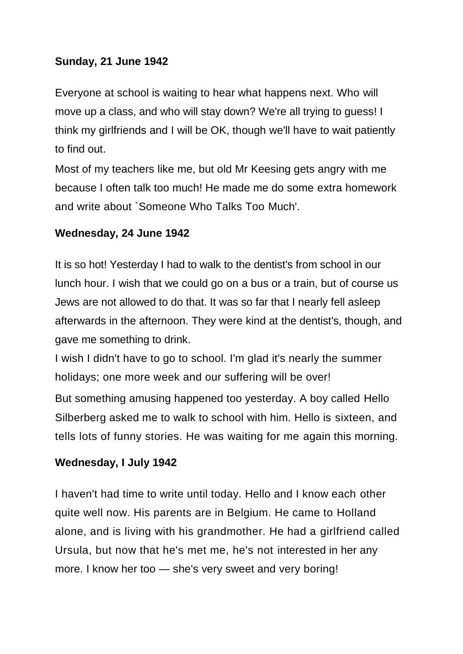### **Sunday, 21 June 1942**

Everyone at school is waiting to hear what happens next. Who will move up a class, and who will stay down? We're all trying to guess! I think my girlfriends and I will be OK, though we'll have to wait patiently to find out.

Most of my teachers like me, but old Mr Keesing gets angry with me because I often talk too much! He made me do some extra homework and write about `Someone Who Talks Too Much'.

#### **Wednesday, 24 June 1942**

It is so hot! Yesterday I had to walk to the dentist's from school in our lunch hour. I wish that we could go on a bus or a train, but of course us Jews are not allowed to do that. It was so far that I nearly fell asleep afterwards in the afternoon. They were kind at the dentist's, though, and gave me something to drink.

I wish I didn't have to go to school. I'm glad it's nearly the summer holidays; one more week and our suffering will be over!

But something amusing happened too yesterday. A boy called Hello Silberberg asked me to walk to school with him. Hello is sixteen, and tells lots of funny stories. He was waiting for me again this morning.

### **Wednesday, I July 1942**

I haven't had time to write until today. Hello and I know each other quite well now. His parents are in Belgium. He came to Holland alone, and is living with his grandmother. He had a girlfriend called Ursula, but now that he's met me, he's not interested in her any more. I know her too — she's very sweet and very boring!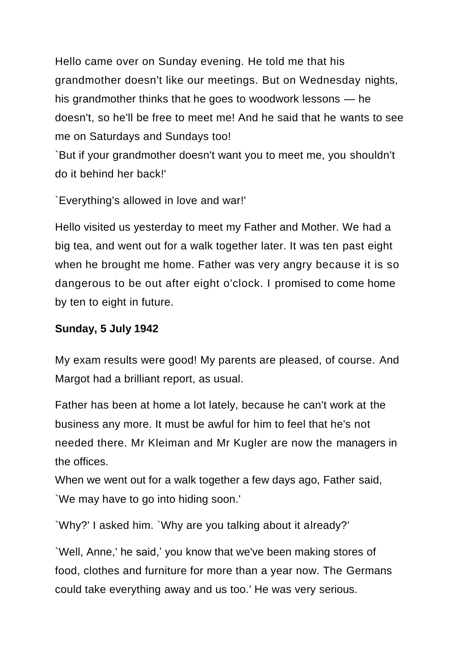Hello came over on Sunday evening. He told me that his grandmother doesn't like our meetings. But on Wednesday nights, his grandmother thinks that he goes to woodwork lessons — he doesn't, so he'll be free to meet me! And he said that he wants to see me on Saturdays and Sundays too!

`But if your grandmother doesn't want you to meet me, you shouldn't do it behind her back!'

`Everything's allowed in love and war!'

Hello visited us yesterday to meet my Father and Mother. We had a big tea, and went out for a walk together later. It was ten past eight when he brought me home. Father was very angry because it is so dangerous to be out after eight o'clock. I promised to come home by ten to eight in future.

#### **Sunday, 5 July 1942**

My exam results were good! My parents are pleased, of course. And Margot had a brilliant report, as usual.

Father has been at home a lot lately, because he can't work at the business any more. It must be awful for him to feel that he's not needed there. Mr Kleiman and Mr Kugler are now the managers in the offices.

When we went out for a walk together a few days ago, Father said, `We may have to go into hiding soon.'

`Why?' I asked him. `Why are you talking about it already?'

`Well, Anne,' he said,' you know that we've been making stores of food, clothes and furniture for more than a year now. The Germans could take everything away and us too.' He was very serious.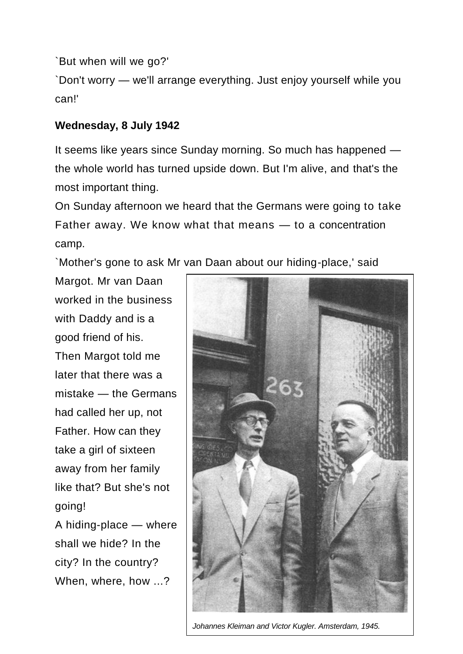`But when will we go?'

`Don't worry — we'll arrange everything. Just enjoy yourself while you can!'

### **Wednesday, 8 July 1942**

It seems like years since Sunday morning. So much has happened the whole world has turned upside down. But I'm alive, and that's the most important thing.

On Sunday afternoon we heard that the Germans were going to take Father away. We know what that means — to a concentration camp.

`Mother's gone to ask Mr van Daan about our hiding-place,' said

Margot. Mr van Daan worked in the business with Daddy and is a good friend of his. Then Margot told me later that there was a mistake — the Germans had called her up, not Father. How can they take a girl of sixteen away from her family like that? But she's not going!

A hiding-place — where shall we hide? In the city? In the country? When, where, how ...?



*Johannes Kleiman and Victor Kugler. Amsterdam, 1945.*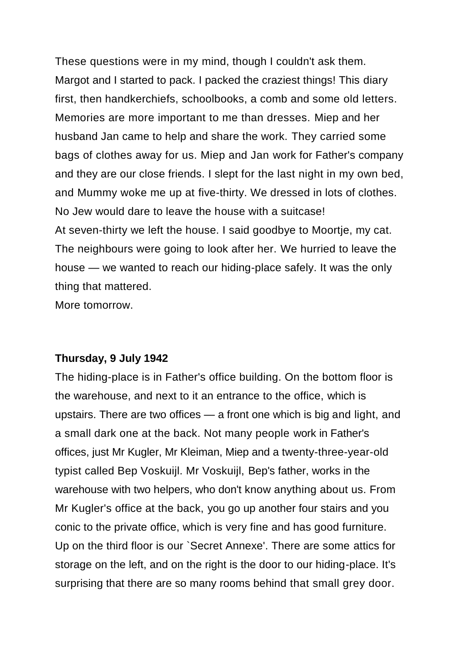These questions were in my mind, though I couldn't ask them. Margot and I started to pack. I packed the craziest things! This diary first, then handkerchiefs, schoolbooks, a comb and some old letters. Memories are more important to me than dresses. Miep and her husband Jan came to help and share the work. They carried some bags of clothes away for us. Miep and Jan work for Father's company and they are our close friends. I slept for the last night in my own bed, and Mummy woke me up at five-thirty. We dressed in lots of clothes. No Jew would dare to leave the house with a suitcase! At seven-thirty we left the house. I said goodbye to Moortje, my cat. The neighbours were going to look after her. We hurried to leave the house — we wanted to reach our hiding-place safely. It was the only thing that mattered.

More tomorrow.

#### **Thursday, 9 July 1942**

The hiding-place is in Father's office building. On the bottom floor is the warehouse, and next to it an entrance to the office, which is upstairs. There are two offices — a front one which is big and light, and a small dark one at the back. Not many people work in Father's offices, just Mr Kugler, Mr Kleiman, Miep and a twenty-three-year-old typist called Bep Voskuijl. Mr Voskuijl, Bep's father, works in the warehouse with two helpers, who don't know anything about us. From Mr Kugler's office at the back, you go up another four stairs and you conic to the private office, which is very fine and has good furniture. Up on the third floor is our `Secret Annexe'. There are some attics for storage on the left, and on the right is the door to our hiding-place. It's surprising that there are so many rooms behind that small grey door.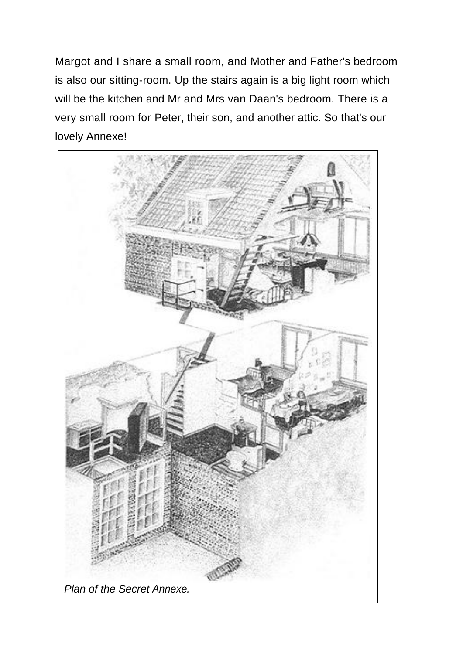Margot and I share a small room, and Mother and Father's bedroom is also our sitting-room. Up the stairs again is a big light room which will be the kitchen and Mr and Mrs van Daan's bedroom. There is a very small room for Peter, their son, and another attic. So that's our lovely Annexe!

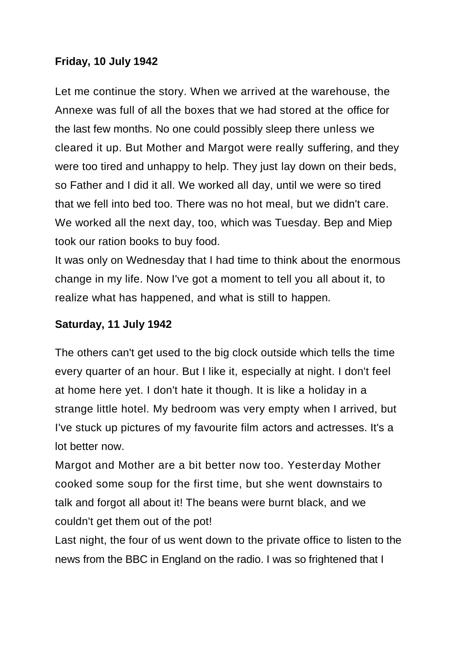#### **Friday, 10 July 1942**

Let me continue the story. When we arrived at the warehouse, the Annexe was full of all the boxes that we had stored at the office for the last few months. No one could possibly sleep there unless we cleared it up. But Mother and Margot were really suffering, and they were too tired and unhappy to help. They just lay down on their beds, so Father and I did it all. We worked all day, until we were so tired that we fell into bed too. There was no hot meal, but we didn't care. We worked all the next day, too, which was Tuesday. Bep and Miep took our ration books to buy food.

It was only on Wednesday that I had time to think about the enormous change in my life. Now I've got a moment to tell you all about it, to realize what has happened, and what is still to happen.

#### **Saturday, 11 July 1942**

The others can't get used to the big clock outside which tells the time every quarter of an hour. But I like it, especially at night. I don't feel at home here yet. I don't hate it though. It is like a holiday in a strange little hotel. My bedroom was very empty when I arrived, but I've stuck up pictures of my favourite film actors and actresses. It's a lot better now.

Margot and Mother are a bit better now too. Yesterday Mother cooked some soup for the first time, but she went downstairs to talk and forgot all about it! The beans were burnt black, and we couldn't get them out of the pot!

Last night, the four of us went down to the private office to listen to the news from the BBC in England on the radio. I was so frightened that I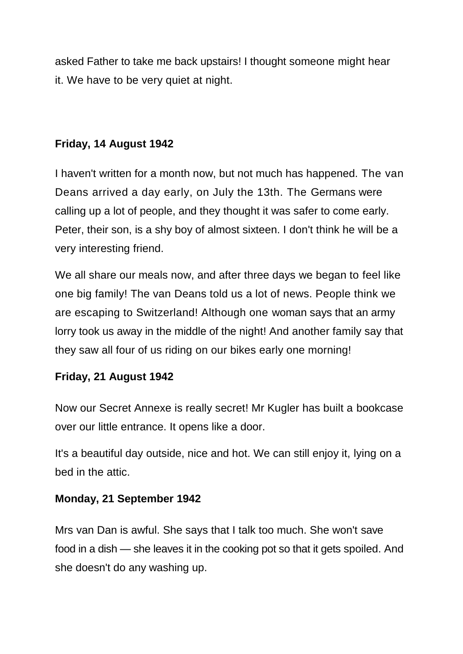asked Father to take me back upstairs! I thought someone might hear it. We have to be very quiet at night.

### **Friday, 14 August 1942**

I haven't written for a month now, but not much has happened. The van Deans arrived a day early, on July the 13th. The Germans were calling up a lot of people, and they thought it was safer to come early. Peter, their son, is a shy boy of almost sixteen. I don't think he will be a very interesting friend.

We all share our meals now, and after three days we began to feel like one big family! The van Deans told us a lot of news. People think we are escaping to Switzerland! Although one woman says that an army lorry took us away in the middle of the night! And another family say that they saw all four of us riding on our bikes early one morning!

### **Friday, 21 August 1942**

Now our Secret Annexe is really secret! Mr Kugler has built a bookcase over our little entrance. It opens like a door.

It's a beautiful day outside, nice and hot. We can still enjoy it, lying on a bed in the attic.

#### **Monday, 21 September 1942**

Mrs van Dan is awful. She says that I talk too much. She won't save food in a dish — she leaves it in the cooking pot so that it gets spoiled. And she doesn't do any washing up.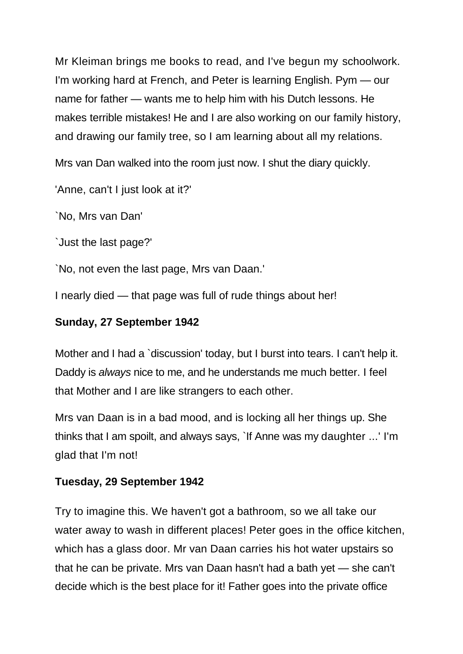Mr Kleiman brings me books to read, and I've begun my schoolwork. I'm working hard at French, and Peter is learning English. Pym — our name for father — wants me to help him with his Dutch lessons. He makes terrible mistakes! He and I are also working on our family history, and drawing our family tree, so I am learning about all my relations.

Mrs van Dan walked into the room just now. I shut the diary quickly.

'Anne, can't I just look at it?'

`No, Mrs van Dan'

`Just the last page?'

`No, not even the last page, Mrs van Daan.'

I nearly died — that page was full of rude things about her!

# **Sunday, 27 September 1942**

Mother and I had a `discussion' today, but I burst into tears. I can't help it. Daddy is *always* nice to me, and he understands me much better. I feel that Mother and I are like strangers to each other.

Mrs van Daan is in a bad mood, and is locking all her things up. She thinks that I am spoilt, and always says, `If Anne was my daughter ...' I'm glad that I'm not!

# **Tuesday, 29 September 1942**

Try to imagine this. We haven't got a bathroom, so we all take our water away to wash in different places! Peter goes in the office kitchen, which has a glass door. Mr van Daan carries his hot water upstairs so that he can be private. Mrs van Daan hasn't had a bath yet — she can't decide which is the best place for it! Father goes into the private office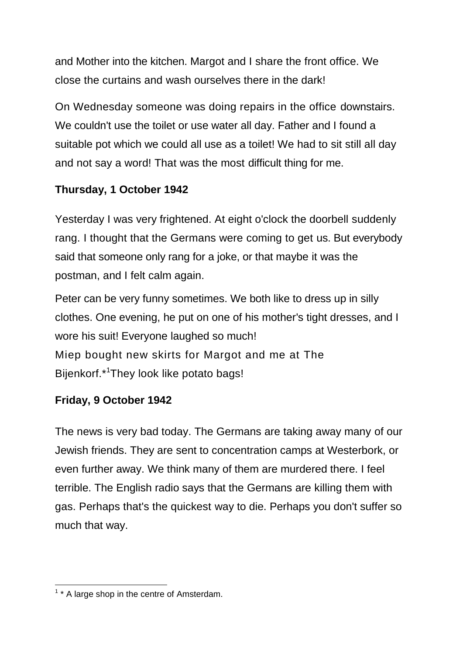and Mother into the kitchen. Margot and I share the front office. We close the curtains and wash ourselves there in the dark!

On Wednesday someone was doing repairs in the office downstairs. We couldn't use the toilet or use water all day. Father and I found a suitable pot which we could all use as a toilet! We had to sit still all day and not say a word! That was the most difficult thing for me.

# **Thursday, 1 October 1942**

Yesterday I was very frightened. At eight o'clock the doorbell suddenly rang. I thought that the Germans were coming to get us. But everybody said that someone only rang for a joke, or that maybe it was the postman, and I felt calm again.

Peter can be very funny sometimes. We both like to dress up in silly clothes. One evening, he put on one of his mother's tight dresses, and I wore his suit! Everyone laughed so much! Miep bought new skirts for Margot and me at The Bijenkorf.\*<sup>1</sup>They look like potato bags!

# **Friday, 9 October 1942**

The news is very bad today. The Germans are taking away many of our Jewish friends. They are sent to concentration camps at Westerbork, or even further away. We think many of them are murdered there. I feel terrible. The English radio says that the Germans are killing them with gas. Perhaps that's the quickest way to die. Perhaps you don't suffer so much that way.

**TERR**<br><sup>1</sup> \* A large shop in the centre of Amsterdam.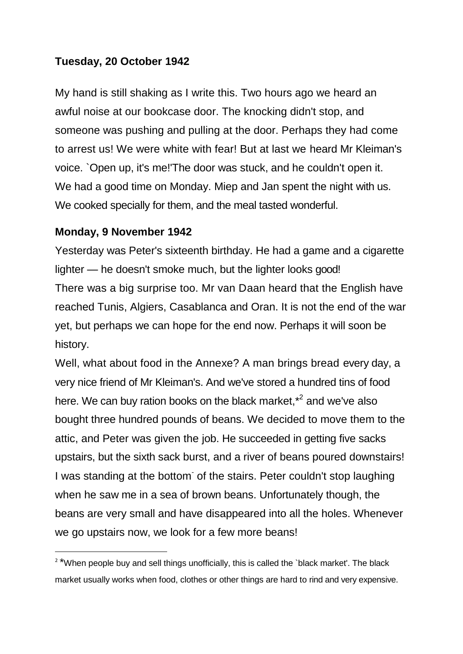### **Tuesday, 20 October 1942**

My hand is still shaking as I write this. Two hours ago we heard an awful noise at our bookcase door. The knocking didn't stop, and someone was pushing and pulling at the door. Perhaps they had come to arrest us! We were white with fear! But at last we heard Mr Kleiman's voice. `Open up, it's me!'The door was stuck, and he couldn't open it. We had a good time on Monday. Miep and Jan spent the night with us. We cooked specially for them, and the meal tasted wonderful.

#### **Monday, 9 November 1942**

**.** 

Yesterday was Peter's sixteenth birthday. He had a game and a cigarette lighter — he doesn't smoke much, but the lighter looks good! There was a big surprise too. Mr van Daan heard that the English have reached Tunis, Algiers, Casablanca and Oran. It is not the end of the war yet, but perhaps we can hope for the end now. Perhaps it will soon be history.

Well, what about food in the Annexe? A man brings bread every day, a very nice friend of Mr Kleiman's. And we've stored a hundred tins of food here. We can buy ration books on the black market, $*^2$  and we've also bought three hundred pounds of beans. We decided to move them to the attic, and Peter was given the job. He succeeded in getting five sacks upstairs, but the sixth sack burst, and a river of beans poured downstairs! I was standing at the bottom of the stairs. Peter couldn't stop laughing when he saw me in a sea of brown beans. Unfortunately though, the beans are very small and have disappeared into all the holes. Whenever we go upstairs now, we look for a few more beans!

 $2$ <sup>\*</sup>When people buy and sell things unofficially, this is called the `black market'. The black market usually works when food, clothes or other things are hard to rind and very expensive.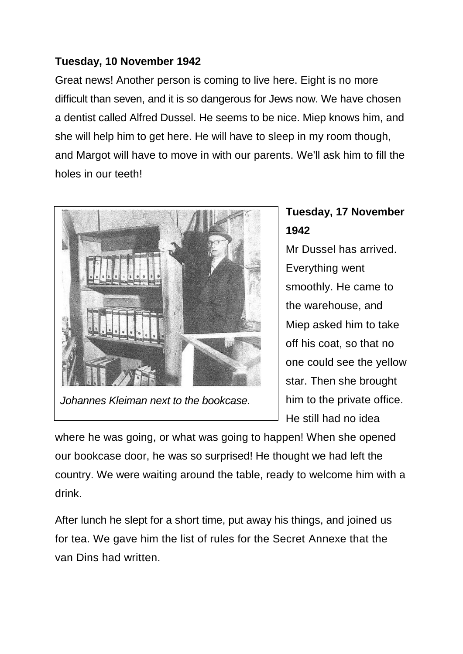# **Tuesday, 10 November 1942**

Great news! Another person is coming to live here. Eight is no more difficult than seven, and it is so dangerous for Jews now. We have chosen a dentist called Alfred Dussel. He seems to be nice. Miep knows him, and she will help him to get here. He will have to sleep in my room though, and Margot will have to move in with our parents. We'll ask him to fill the holes in our teeth!



*Johannes Kleiman next to the bookcase.*

# **Tuesday, 17 November 1942**

Mr Dussel has arrived. Everything went smoothly. He came to the warehouse, and Miep asked him to take off his coat, so that no one could see the yellow star. Then she brought him to the private office. He still had no idea

where he was going, or what was going to happen! When she opened our bookcase door, he was so surprised! He thought we had left the country. We were waiting around the table, ready to welcome him with a drink.

After lunch he slept for a short time, put away his things, and joined us for tea. We gave him the list of rules for the Secret Annexe that the van Dins had written.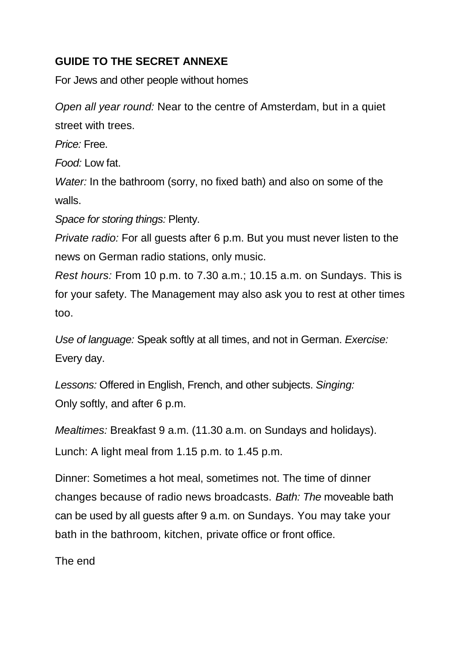# **GUIDE TO THE SECRET ANNEXE**

For Jews and other people without homes

*Open all year round:* Near to the centre of Amsterdam, but in a quiet street with trees.

*Price:* Free.

*Food:* Low fat.

*Water:* In the bathroom (sorry, no fixed bath) and also on some of the walls.

*Space for storing things:* Plenty.

*Private radio:* For all guests after 6 p.m. But you must never listen to the news on German radio stations, only music.

*Rest hours:* From 10 p.m. to 7.30 a.m.; 10.15 a.m. on Sundays. This is for your safety. The Management may also ask you to rest at other times too.

*Use of language:* Speak softly at all times, and not in German. *Exercise:*  Every day.

*Lessons:* Offered in English, French, and other subjects. *Singing:*  Only softly, and after 6 p.m.

*Mealtimes:* Breakfast 9 a.m. (11.30 a.m. on Sundays and holidays).

Lunch: A light meal from 1.15 p.m. to 1.45 p.m.

Dinner: Sometimes a hot meal, sometimes not. The time of dinner changes because of radio news broadcasts. *Bath: The* moveable bath can be used by all guests after 9 a.m. on Sundays. You may take your bath in the bathroom, kitchen, private office or front office.

The end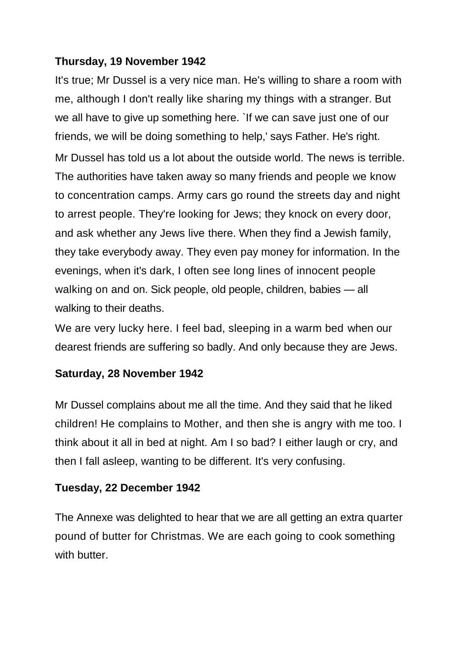#### **Thursday, 19 November 1942**

It's true; Mr Dussel is a very nice man. He's willing to share a room with me, although I don't really like sharing my things with a stranger. But we all have to give up something here. If we can save just one of our friends, we will be doing something to help,' says Father. He's right. Mr Dussel has told us a lot about the outside world. The news is terrible. The authorities have taken away so many friends and people we know to concentration camps. Army cars go round the streets day and night to arrest people. They're looking for Jews; they knock on every door, and ask whether any Jews live there. When they find a Jewish family, they take everybody away. They even pay money for information. In the evenings, when it's dark, I often see long lines of innocent people walking on and on. Sick people, old people, children, babies — all walking to their deaths.

We are very lucky here. I feel bad, sleeping in a warm bed when our dearest friends are suffering so badly. And only because they are Jews.

#### **Saturday, 28 November 1942**

Mr Dussel complains about me all the time. And they said that he liked children! He complains to Mother, and then she is angry with me too. I think about it all in bed at night. Am I so bad? I either laugh or cry, and then I fall asleep, wanting to be different. It's very confusing.

#### **Tuesday, 22 December 1942**

The Annexe was delighted to hear that we are all getting an extra quarter pound of butter for Christmas. We are each going to cook something with butter.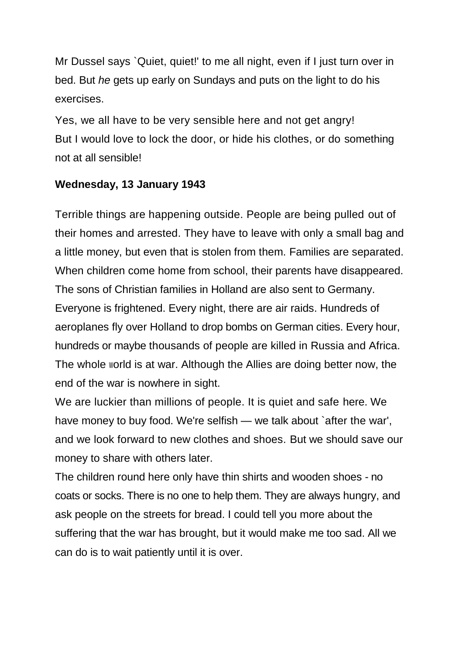Mr Dussel says `Quiet, quiet!' to me all night, even if I just turn over in bed. But *he* gets up early on Sundays and puts on the light to do his exercises.

Yes, we all have to be very sensible here and not get angry! But I would love to lock the door, or hide his clothes, or do something not at all sensible!

### **Wednesday, 13 January 1943**

Terrible things are happening outside. People are being pulled out of their homes and arrested. They have to leave with only a small bag and a little money, but even that is stolen from them. Families are separated. When children come home from school, their parents have disappeared. The sons of Christian families in Holland are also sent to Germany. Everyone is frightened. Every night, there are air raids. Hundreds of aeroplanes fly over Holland to drop bombs on German cities. Every hour, hundreds or maybe thousands of people are killed in Russia and Africa. The whole world is at war. Although the Allies are doing better now, the end of the war is nowhere in sight.

We are luckier than millions of people. It is quiet and safe here. We have money to buy food. We're selfish — we talk about `after the war', and we look forward to new clothes and shoes. But we should save our money to share with others later.

The children round here only have thin shirts and wooden shoes - no coats or socks. There is no one to help them. They are always hungry, and ask people on the streets for bread. I could tell you more about the suffering that the war has brought, but it would make me too sad. All we can do is to wait patiently until it is over.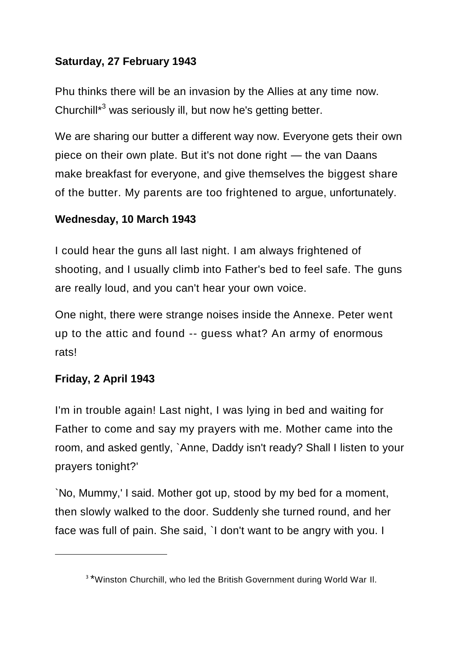### **Saturday, 27 February 1943**

Phu thinks there will be an invasion by the Allies at any time now. Churchill\*<sup>3</sup> was seriously ill, but now he's getting better.

We are sharing our butter a different way now. Everyone gets their own piece on their own plate. But it's not done right — the van Daans make breakfast for everyone, and give themselves the biggest share of the butter. My parents are too frightened to argue, unfortunately.

#### **Wednesday, 10 March 1943**

I could hear the guns all last night. I am always frightened of shooting, and I usually climb into Father's bed to feel safe. The guns are really loud, and you can't hear your own voice.

One night, there were strange noises inside the Annexe. Peter went up to the attic and found -- guess what? An army of enormous rats!

### **Friday, 2 April 1943**

1

I'm in trouble again! Last night, I was lying in bed and waiting for Father to come and say my prayers with me. Mother came into the room, and asked gently, `Anne, Daddy isn't ready? Shall I listen to your prayers tonight?'

`No, Mummy,' I said. Mother got up, stood by my bed for a moment, then slowly walked to the door. Suddenly she turned round, and her face was full of pain. She said, `I don't want to be angry with you. I

<sup>&</sup>lt;sup>3</sup>\*Winston Churchill, who led the British Government during World War II.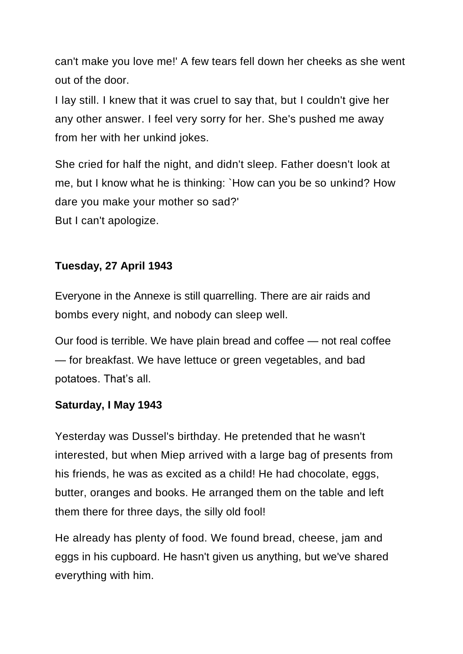can't make you love me!' A few tears fell down her cheeks as she went out of the door.

I lay still. I knew that it was cruel to say that, but I couldn't give her any other answer. I feel very sorry for her. She's pushed me away from her with her unkind jokes.

She cried for half the night, and didn't sleep. Father doesn't look at me, but I know what he is thinking: `How can you be so unkind? How dare you make your mother so sad?' But I can't apologize.

### **Tuesday, 27 April 1943**

Everyone in the Annexe is still quarrelling. There are air raids and bombs every night, and nobody can sleep well.

Our food is terrible. We have plain bread and coffee — not real coffee — for breakfast. We have lettuce or green vegetables, and bad potatoes. That's all.

#### **Saturday, I May 1943**

Yesterday was Dussel's birthday. He pretended that he wasn't interested, but when Miep arrived with a large bag of presents from his friends, he was as excited as a child! He had chocolate, eggs, butter, oranges and books. He arranged them on the table and left them there for three days, the silly old fool!

He already has plenty of food. We found bread, cheese, jam and eggs in his cupboard. He hasn't given us anything, but we've shared everything with him.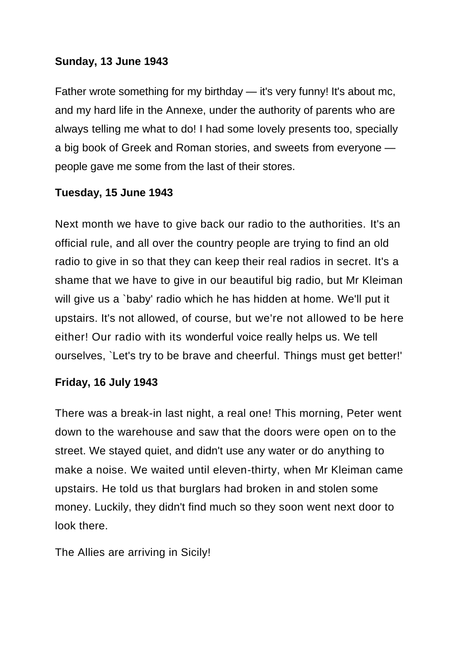#### **Sunday, 13 June 1943**

Father wrote something for my birthday — it's very funny! It's about mc, and my hard life in the Annexe, under the authority of parents who are always telling me what to do! I had some lovely presents too, specially a big book of Greek and Roman stories, and sweets from everyone people gave me some from the last of their stores.

#### **Tuesday, 15 June 1943**

Next month we have to give back our radio to the authorities. It's an official rule, and all over the country people are trying to find an old radio to give in so that they can keep their real radios in secret. It's a shame that we have to give in our beautiful big radio, but Mr Kleiman will give us a `baby' radio which he has hidden at home. We'll put it upstairs. It's not allowed, of course, but we're not allowed to be here either! Our radio with its wonderful voice really helps us. We tell ourselves, `Let's try to be brave and cheerful. Things must get better!'

### **Friday, 16 July 1943**

There was a break-in last night, a real one! This morning, Peter went down to the warehouse and saw that the doors were open on to the street. We stayed quiet, and didn't use any water or do anything to make a noise. We waited until eleven-thirty, when Mr Kleiman came upstairs. He told us that burglars had broken in and stolen some money. Luckily, they didn't find much so they soon went next door to look there.

The Allies are arriving in Sicily!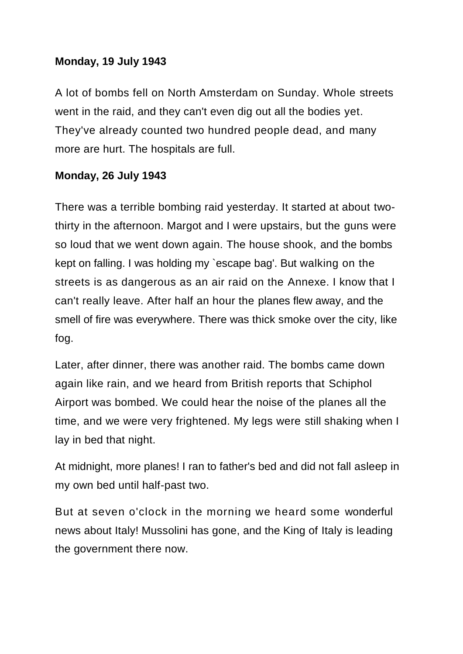#### **Monday, 19 July 1943**

A lot of bombs fell on North Amsterdam on Sunday. Whole streets went in the raid, and they can't even dig out all the bodies yet. They've already counted two hundred people dead, and many more are hurt. The hospitals are full.

### **Monday, 26 July 1943**

There was a terrible bombing raid yesterday. It started at about twothirty in the afternoon. Margot and I were upstairs, but the guns were so loud that we went down again. The house shook, and the bombs kept on falling. I was holding my `escape bag'. But walking on the streets is as dangerous as an air raid on the Annexe. I know that I can't really leave. After half an hour the planes flew away, and the smell of fire was everywhere. There was thick smoke over the city, like fog.

Later, after dinner, there was another raid. The bombs came down again like rain, and we heard from British reports that Schiphol Airport was bombed. We could hear the noise of the planes all the time, and we were very frightened. My legs were still shaking when I lay in bed that night.

At midnight, more planes! I ran to father's bed and did not fall asleep in my own bed until half-past two.

But at seven o'clock in the morning we heard some wonderful news about Italy! Mussolini has gone, and the King of Italy is leading the government there now.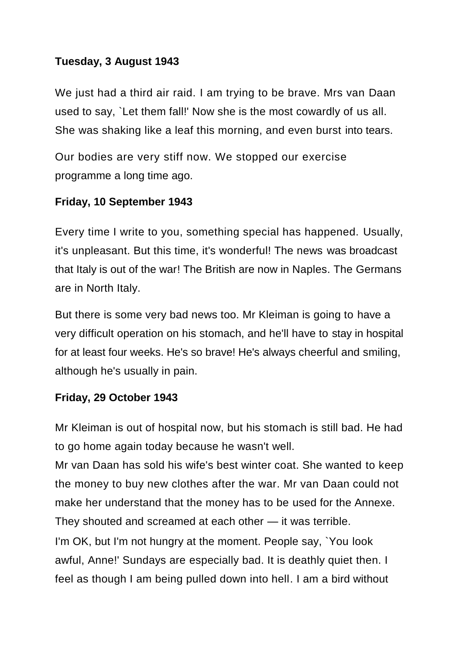### **Tuesday, 3 August 1943**

We just had a third air raid. I am trying to be brave. Mrs van Daan used to say, `Let them fall!' Now she is the most cowardly of us all. She was shaking like a leaf this morning, and even burst into tears.

Our bodies are very stiff now. We stopped our exercise programme a long time ago.

### **Friday, 10 September 1943**

Every time I write to you, something special has happened. Usually, it's unpleasant. But this time, it's wonderful! The news was broadcast that Italy is out of the war! The British are now in Naples. The Germans are in North Italy.

But there is some very bad news too. Mr Kleiman is going to have a very difficult operation on his stomach, and he'll have to stay in hospital for at least four weeks. He's so brave! He's always cheerful and smiling, although he's usually in pain.

### **Friday, 29 October 1943**

Mr Kleiman is out of hospital now, but his stomach is still bad. He had to go home again today because he wasn't well.

Mr van Daan has sold his wife's best winter coat. She wanted to keep the money to buy new clothes after the war. Mr van Daan could not make her understand that the money has to be used for the Annexe. They shouted and screamed at each other — it was terrible.

I'm OK, but I'm not hungry at the moment. People say, `You look awful, Anne!' Sundays are especially bad. It is deathly quiet then. I feel as though I am being pulled down into hell. I am a bird without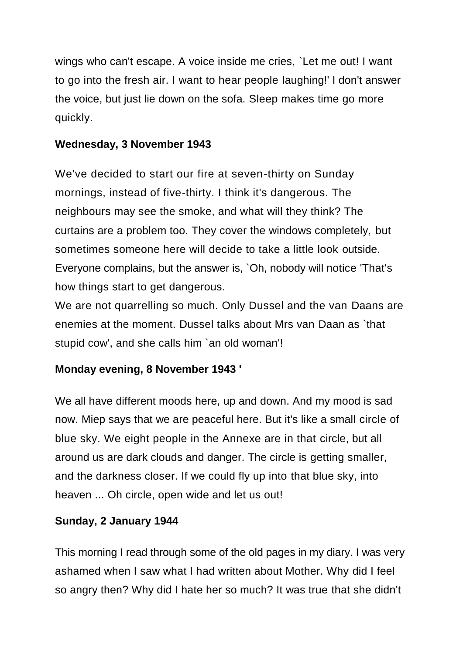wings who can't escape. A voice inside me cries, `Let me out! I want to go into the fresh air. I want to hear people laughing!' I don't answer the voice, but just lie down on the sofa. Sleep makes time go more quickly.

### **Wednesday, 3 November 1943**

We've decided to start our fire at seven-thirty on Sunday mornings, instead of five-thirty. I think it's dangerous. The neighbours may see the smoke, and what will they think? The curtains are a problem too. They cover the windows completely, but sometimes someone here will decide to take a little look outside. Everyone complains, but the answer is, `Oh, nobody will notice 'That's how things start to get dangerous.

We are not quarrelling so much. Only Dussel and the van Daans are enemies at the moment. Dussel talks about Mrs van Daan as `that stupid cow', and she calls him `an old woman'!

### **Monday evening, 8 November 1943 '**

We all have different moods here, up and down. And my mood is sad now. Miep says that we are peaceful here. But it's like a small circle of blue sky. We eight people in the Annexe are in that circle, but all around us are dark clouds and danger. The circle is getting smaller, and the darkness closer. If we could fly up into that blue sky, into heaven ... Oh circle, open wide and let us out!

### **Sunday, 2 January 1944**

This morning I read through some of the old pages in my diary. I was very ashamed when I saw what I had written about Mother. Why did I feel so angry then? Why did I hate her so much? It was true that she didn't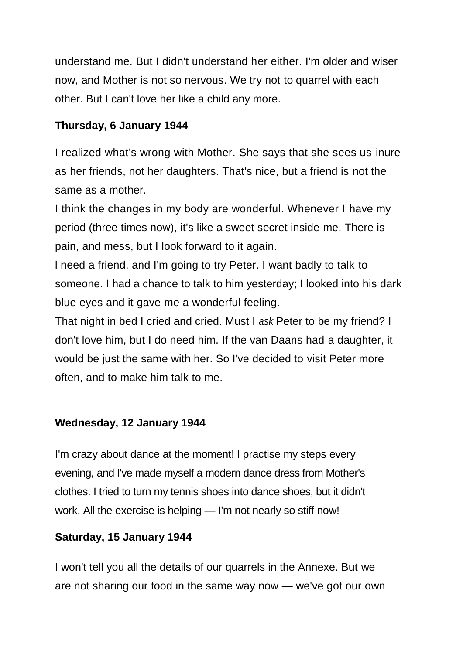understand me. But I didn't understand her either. I'm older and wiser now, and Mother is not so nervous. We try not to quarrel with each other. But I can't love her like a child any more.

### **Thursday, 6 January 1944**

I realized what's wrong with Mother. She says that she sees us inure as her friends, not her daughters. That's nice, but a friend is not the same as a mother.

I think the changes in my body are wonderful. Whenever I have my period (three times now), it's like a sweet secret inside me. There is pain, and mess, but I look forward to it again.

l need a friend, and I'm going to try Peter. I want badly to talk to someone. I had a chance to talk to him yesterday; I looked into his dark blue eyes and it gave me a wonderful feeling.

That night in bed I cried and cried. Must I *ask* Peter to be my friend? I don't love him, but I do need him. If the van Daans had a daughter, it would be just the same with her. So I've decided to visit Peter more often, and to make him talk to me.

### **Wednesday, 12 January 1944**

I'm crazy about dance at the moment! I practise my steps every evening, and I've made myself a modern dance dress from Mother's clothes. I tried to turn my tennis shoes into dance shoes, but it didn't work. All the exercise is helping — I'm not nearly so stiff now!

### **Saturday, 15 January 1944**

I won't tell you all the details of our quarrels in the Annexe. But we are not sharing our food in the same way now — we've got our own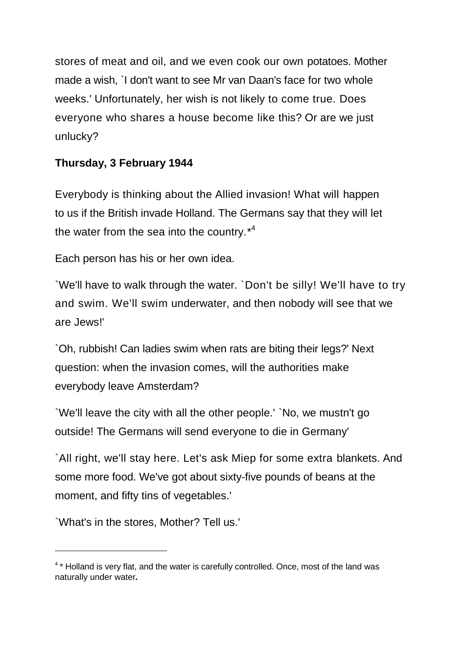stores of meat and oil, and we even cook our own potatoes. Mother made a wish, `I don't want to see Mr van Daan's face for two whole weeks.' Unfortunately, her wish is not likely to come true. Does everyone who shares a house become like this? Or are we just unlucky?

# **Thursday, 3 February 1944**

Everybody is thinking about the Allied invasion! What will happen to us if the British invade Holland. The Germans say that they will let the water from the sea into the country.\*<sup>4</sup>

Each person has his or her own idea.

`We'll have to walk through the water. `Don't be silly! We'll have to try and swim. We'll swim underwater, and then nobody will see that we are Jews!'

`Oh, rubbish! Can ladies swim when rats are biting their legs?' Next question: when the invasion comes, will the authorities make everybody leave Amsterdam?

`We'll leave the city with all the other people.' `No, we mustn't go outside! The Germans will send everyone to die in Germany'

`All right, we'll stay here. Let's ask Miep for some extra blankets. And some more food. We've got about sixty-five pounds of beans at the moment, and fifty tins of vegetables.'

`What's in the stores, Mother? Tell us.'

1

<sup>&</sup>lt;sup>4</sup> \* Holland is very flat, and the water is carefully controlled. Once, most of the land was naturally under water*.*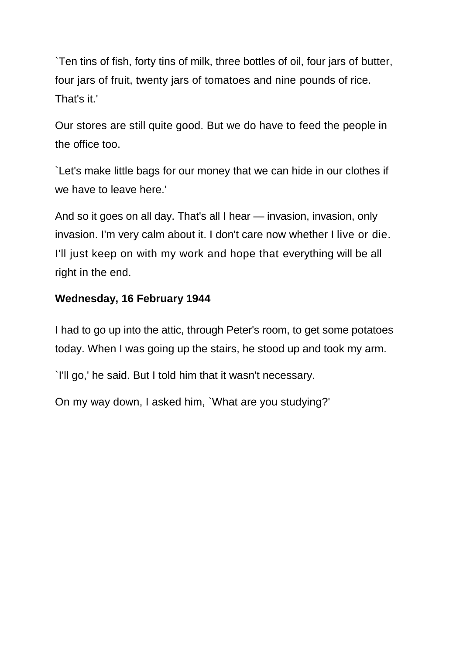`Ten tins of fish, forty tins of milk, three bottles of oil, four jars of butter, four jars of fruit, twenty jars of tomatoes and nine pounds of rice. That's it '

Our stores are still quite good. But we do have to feed the people in the office too.

`Let's make little bags for our money that we can hide in our clothes if we have to leave here.'

And so it goes on all day. That's all I hear — invasion, invasion, only invasion. I'm very calm about it. I don't care now whether I live or die. I'll just keep on with my work and hope that everything will be all right in the end.

### **Wednesday, 16 February 1944**

I had to go up into the attic, through Peter's room, to get some potatoes today. When I was going up the stairs, he stood up and took my arm.

`I'll go,' he said. But I told him that it wasn't necessary.

On my way down, I asked him, `What are you studying?'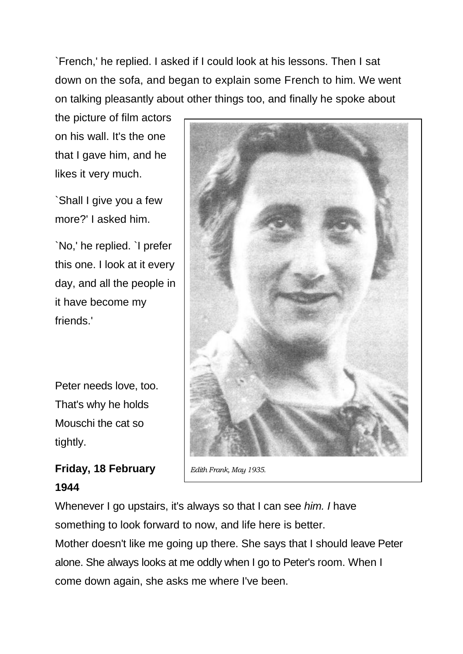`French,' he replied. I asked if I could look at his lessons. Then I sat down on the sofa, and began to explain some French to him. We went on talking pleasantly about other things too, and finally he spoke about

the picture of film actors on his wall. It's the one that I gave him, and he likes it very much.

`Shall I give you a few more?' I asked him.

`No,' he replied. `I prefer this one. I look at it every day, and all the people in it have become my friends<sup>'</sup>

Peter needs love, too. That's why he holds Mouschi the cat so tightly.

# **Friday, 18 February 1944**



*Edith Frank, May 1935.*

Whenever I go upstairs, it's always so that I can see *him. I* have something to look forward to now, and life here is better. Mother doesn't like me going up there. She says that I should leave Peter alone. She always looks at me oddly when I go to Peter's room. When I come down again, she asks me where I've been.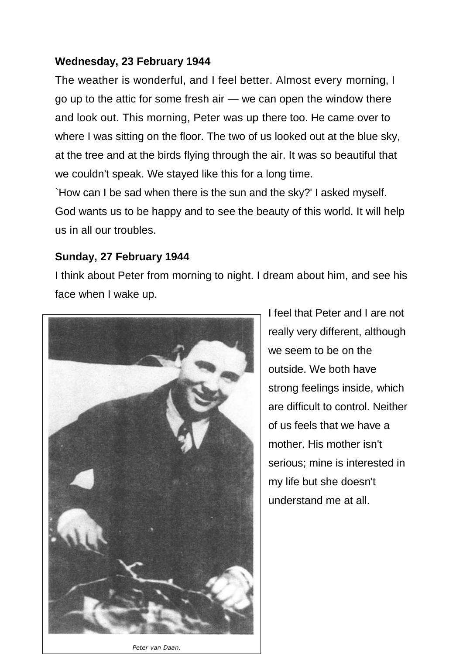#### **Wednesday, 23 February 1944**

The weather is wonderful, and I feel better. Almost every morning, I go up to the attic for some fresh air — we can open the window there and look out. This morning, Peter was up there too. He came over to where I was sitting on the floor. The two of us looked out at the blue sky, at the tree and at the birds flying through the air. It was so beautiful that we couldn't speak. We stayed like this for a long time.

`How can I be sad when there is the sun and the sky?' I asked myself. God wants us to be happy and to see the beauty of this world. It will help us in all our troubles.

#### **Sunday, 27 February 1944**

I think about Peter from morning to night. I dream about him, and see his face when I wake up.



I feel that Peter and I are not really very different, although we seem to be on the outside. We both have strong feelings inside, which are difficult to control. Neither of us feels that we have a mother. His mother isn't serious; mine is interested in my life but she doesn't understand me at all.

*Peter van Daan.*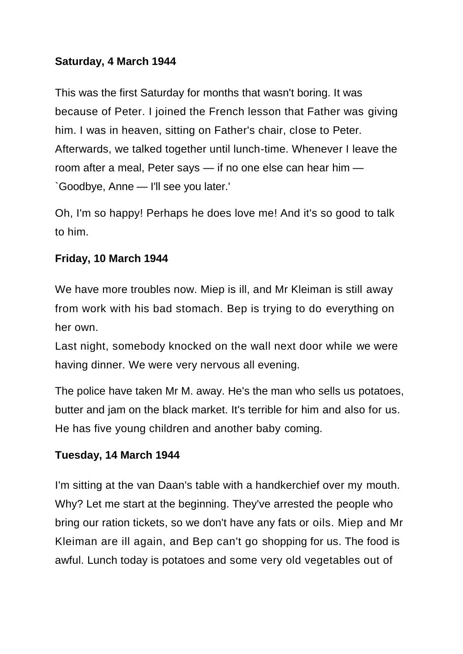### **Saturday, 4 March 1944**

This was the first Saturday for months that wasn't boring. It was because of Peter. I joined the French lesson that Father was giving him. I was in heaven, sitting on Father's chair, close to Peter. Afterwards, we talked together until lunch-time. Whenever I leave the room after a meal, Peter says — if no one else can hear him — `Goodbye, Anne — I'll see you later.'

Oh, I'm so happy! Perhaps he does love me! And it's so good to talk to him.

### **Friday, 10 March 1944**

We have more troubles now. Miep is ill, and Mr Kleiman is still away from work with his bad stomach. Bep is trying to do everything on her own.

Last night, somebody knocked on the wall next door while we were having dinner. We were very nervous all evening.

The police have taken Mr M. away. He's the man who sells us potatoes, butter and jam on the black market. It's terrible for him and also for us. He has five young children and another baby coming.

### **Tuesday, 14 March 1944**

I'm sitting at the van Daan's table with a handkerchief over my mouth. Why? Let me start at the beginning. They've arrested the people who bring our ration tickets, so we don't have any fats or oils. Miep and Mr Kleiman are ill again, and Bep can't go shopping for us. The food is awful. Lunch today is potatoes and some very old vegetables out of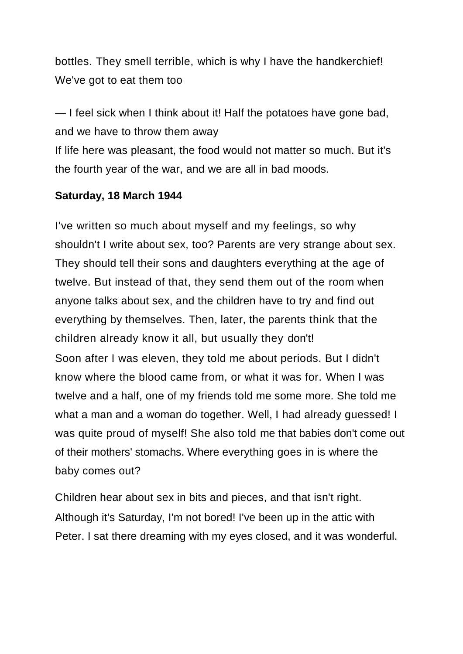bottles. They smell terrible, which is why I have the handkerchief! We've got to eat them too

— I feel sick when I think about it! Half the potatoes have gone bad, and we have to throw them away

If life here was pleasant, the food would not matter so much. But it's the fourth year of the war, and we are all in bad moods.

#### **Saturday, 18 March 1944**

I've written so much about myself and my feelings, so why shouldn't I write about sex, too? Parents are very strange about sex. They should tell their sons and daughters everything at the age of twelve. But instead of that, they send them out of the room when anyone talks about sex, and the children have to try and find out everything by themselves. Then, later, the parents think that the children already know it all, but usually they don't! Soon after I was eleven, they told me about periods. But I didn't know where the blood came from, or what it was for. When I was twelve and a half, one of my friends told me some more. She told me what a man and a woman do together. Well, I had already guessed! I was quite proud of myself! She also told me that babies don't come out of their mothers' stomachs. Where everything goes in is where the baby comes out?

Children hear about sex in bits and pieces, and that isn't right. Although it's Saturday, I'm not bored! I've been up in the attic with Peter. I sat there dreaming with my eyes closed, and it was wonderful.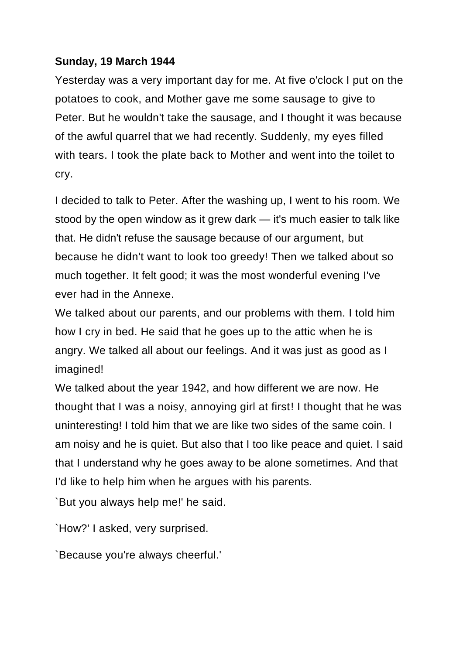#### **Sunday, 19 March 1944**

Yesterday was a very important day for me. At five o'clock I put on the potatoes to cook, and Mother gave me some sausage to give to Peter. But he wouldn't take the sausage, and I thought it was because of the awful quarrel that we had recently. Suddenly, my eyes filled with tears. I took the plate back to Mother and went into the toilet to cry.

I decided to talk to Peter. After the washing up, I went to his room. We stood by the open window as it grew dark — it's much easier to talk like that. He didn't refuse the sausage because of our argument, but because he didn't want to look too greedy! Then we talked about so much together. It felt good; it was the most wonderful evening I've ever had in the Annexe.

We talked about our parents, and our problems with them. I told him how I cry in bed. He said that he goes up to the attic when he is angry. We talked all about our feelings. And it was just as good as I imagined!

We talked about the year 1942, and how different we are now. He thought that I was a noisy, annoying girl at first! I thought that he was uninteresting! I told him that we are like two sides of the same coin. I am noisy and he is quiet. But also that I too like peace and quiet. I said that I understand why he goes away to be alone sometimes. And that I'd like to help him when he argues with his parents.

`But you always help me!' he said.

`How?' I asked, very surprised.

`Because you're always cheerful.'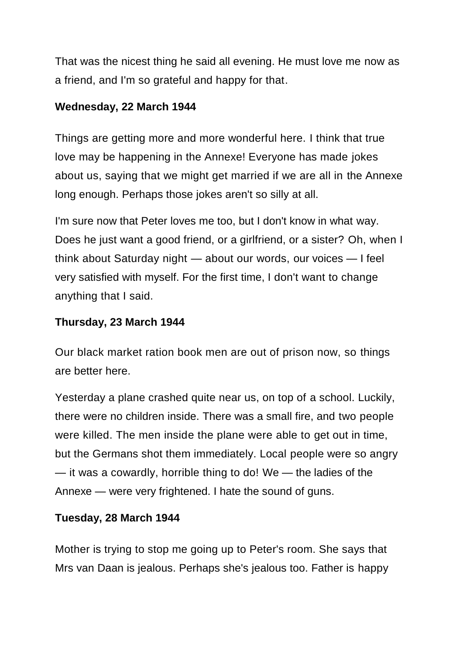That was the nicest thing he said all evening. He must love me now as a friend, and I'm so grateful and happy for that.

### **Wednesday, 22 March 1944**

Things are getting more and more wonderful here. I think that true love may be happening in the Annexe! Everyone has made jokes about us, saying that we might get married if we are all in the Annexe long enough. Perhaps those jokes aren't so silly at all.

I'm sure now that Peter loves me too, but I don't know in what way. Does he just want a good friend, or a girlfriend, or a sister? Oh, when I think about Saturday night — about our words, our voices — I feel very satisfied with myself. For the first time, I don't want to change anything that I said.

### **Thursday, 23 March 1944**

Our black market ration book men are out of prison now, so things are better here.

Yesterday a plane crashed quite near us, on top of a school. Luckily, there were no children inside. There was a small fire, and two people were killed. The men inside the plane were able to get out in time, but the Germans shot them immediately. Local people were so angry — it was a cowardly, horrible thing to do! We — the ladies of the Annexe — were very frightened. I hate the sound of guns.

# **Tuesday, 28 March 1944**

Mother is trying to stop me going up to Peter's room. She says that Mrs van Daan is jealous. Perhaps she's jealous too. Father is happy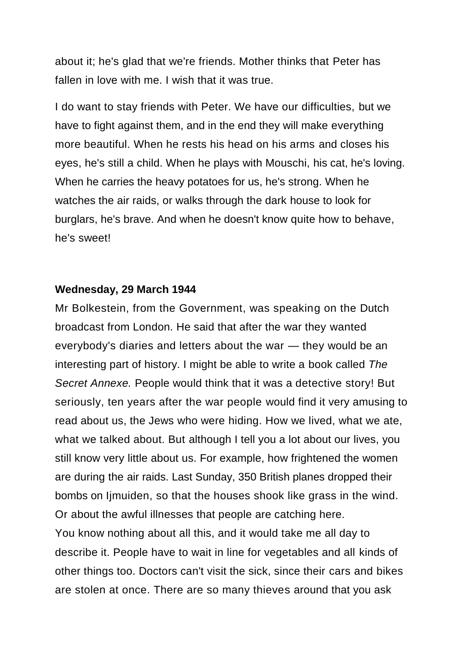about it; he's glad that we're friends. Mother thinks that Peter has fallen in love with me. I wish that it was true.

I do want to stay friends with Peter. We have our difficulties, but we have to fight against them, and in the end they will make everything more beautiful. When he rests his head on his arms and closes his eyes, he's still a child. When he plays with Mouschi, his cat, he's loving. When he carries the heavy potatoes for us, he's strong. When he watches the air raids, or walks through the dark house to look for burglars, he's brave. And when he doesn't know quite how to behave, he's sweet!

#### **Wednesday, 29 March 1944**

Mr Bolkestein, from the Government, was speaking on the Dutch broadcast from London. He said that after the war they wanted everybody's diaries and letters about the war — they would be an interesting part of history. I might be able to write a book called *The Secret Annexe.* People would think that it was a detective story! But seriously, ten years after the war people would find it very amusing to read about us, the Jews who were hiding. How we lived, what we ate, what we talked about. But although I tell you a lot about our lives, you still know very little about us. For example, how frightened the women are during the air raids. Last Sunday, 350 British planes dropped their bombs on Ijmuiden, so that the houses shook like grass in the wind. Or about the awful illnesses that people are catching here. You know nothing about all this, and it would take me all day to describe it. People have to wait in line for vegetables and all kinds of other things too. Doctors can't visit the sick, since their cars and bikes are stolen at once. There are so many thieves around that you ask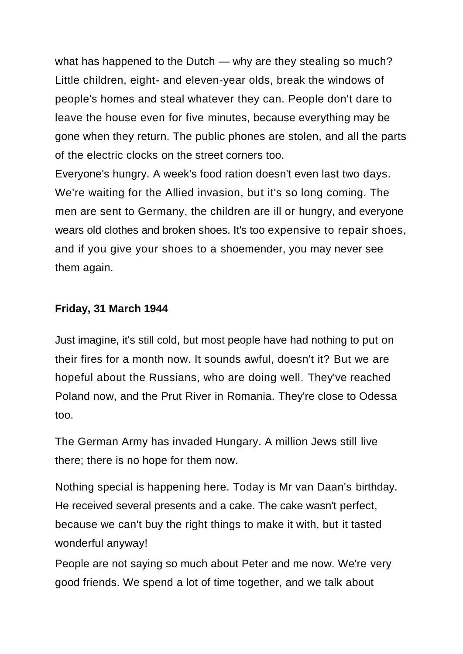what has happened to the Dutch — why are they stealing so much? Little children, eight- and eleven-year olds, break the windows of people's homes and steal whatever they can. People don't dare to leave the house even for five minutes, because everything may be gone when they return. The public phones are stolen, and all the parts of the electric clocks on the street corners too.

Everyone's hungry. A week's food ration doesn't even last two days. We're waiting for the Allied invasion, but it's so long coming. The men are sent to Germany, the children are ill or hungry, and everyone wears old clothes and broken shoes. It's too expensive to repair shoes, and if you give your shoes to a shoemender, you may never see them again.

#### **Friday, 31 March 1944**

Just imagine, it's still cold, but most people have had nothing to put on their fires for a month now. It sounds awful, doesn't it? But we are hopeful about the Russians, who are doing well. They've reached Poland now, and the Prut River in Romania. They're close to Odessa too.

The German Army has invaded Hungary. A million Jews still live there; there is no hope for them now.

Nothing special is happening here. Today is Mr van Daan's birthday. He received several presents and a cake. The cake wasn't perfect, because we can't buy the right things to make it with, but it tasted wonderful anyway!

People are not saying so much about Peter and me now. We're very good friends. We spend a lot of time together, and we talk about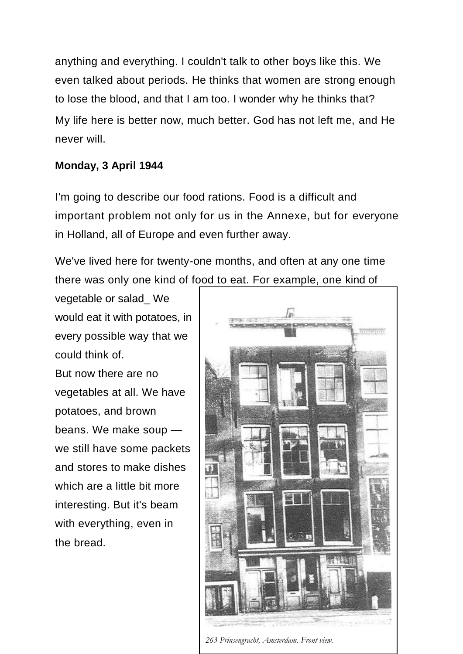anything and everything. I couldn't talk to other boys like this. We even talked about periods. He thinks that women are strong enough to lose the blood, and that I am too. I wonder why he thinks that? My life here is better now, much better. God has not left me, and He never will.

### **Monday, 3 April 1944**

I'm going to describe our food rations. Food is a difficult and important problem not only for us in the Annexe, but for everyone in Holland, all of Europe and even further away.

We've lived here for twenty-one months, and often at any one time there was only one kind of food to eat. For example, one kind of

vegetable or salad\_ We would eat it with potatoes, in every possible way that we could think of.

But now there are no vegetables at all. We have potatoes, and brown beans. We make soup we still have some packets and stores to make dishes which are a little bit more interesting. But it's beam with everything, even in the bread.



*263 Prinsengracht, Amsterdam. Front view.*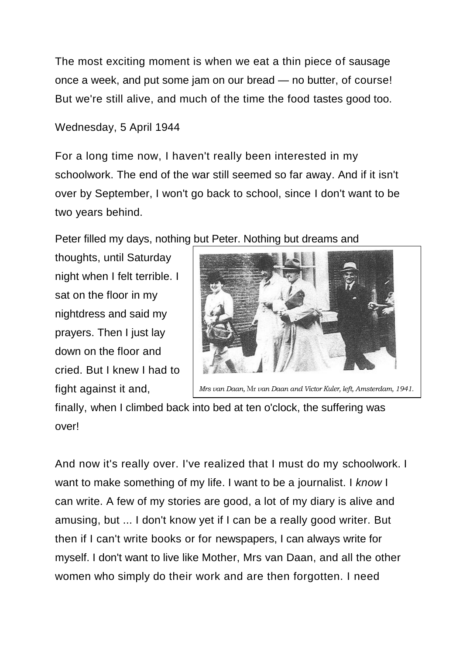The most exciting moment is when we eat a thin piece of sausage once a week, and put some jam on our bread — no butter, of course! But we're still alive, and much of the time the food tastes good too.

#### Wednesday, 5 April 1944

For a long time now, I haven't really been interested in my schoolwork. The end of the war still seemed so far away. And if it isn't over by September, I won't go back to school, since I don't want to be two years behind.

Peter filled my days, nothing but Peter. Nothing but dreams and

thoughts, until Saturday night when I felt terrible. I sat on the floor in my nightdress and said my prayers. Then I just lay down on the floor and cried. But I knew I had to fight against it and,



*Mrs van Daan,* Mr *van Daan and Victor Kuler, left, Amsterdam, 1941.*

finally, when I climbed back into bed at ten o'clock, the suffering was over!

And now it's really over. I've realized that I must do my schoolwork. I want to make something of my life. I want to be a journalist. I *know* I can write. A few of my stories are good, a lot of my diary is alive and amusing, but ... I don't know yet if I can be a really good writer. But then if I can't write books or for newspapers, I can always write for myself. I don't want to live like Mother, Mrs van Daan, and all the other women who simply do their work and are then forgotten. I need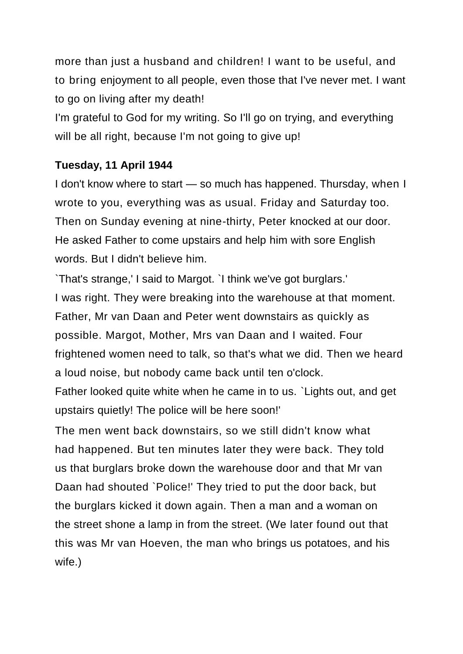more than just a husband and children! I want to be useful, and to bring enjoyment to all people, even those that I've never met. I want to go on living after my death!

I'm grateful to God for my writing. So I'll go on trying, and everything will be all right, because I'm not going to give up!

#### **Tuesday, 11 April 1944**

I don't know where to start — so much has happened. Thursday, when I wrote to you, everything was as usual. Friday and Saturday too. Then on Sunday evening at nine-thirty, Peter knocked at our door. He asked Father to come upstairs and help him with sore English words. But I didn't believe him.

`That's strange,' I said to Margot. `I think we've got burglars.' I was right. They were breaking into the warehouse at that moment. Father, Mr van Daan and Peter went downstairs as quickly as possible. Margot, Mother, Mrs van Daan and I waited. Four frightened women need to talk, so that's what we did. Then we heard a loud noise, but nobody came back until ten o'clock.

Father looked quite white when he came in to us. `Lights out, and get upstairs quietly! The police will be here soon!'

The men went back downstairs, so we still didn't know what had happened. But ten minutes later they were back. They told us that burglars broke down the warehouse door and that Mr van Daan had shouted `Police!' They tried to put the door back, but the burglars kicked it down again. Then a man and a woman on the street shone a lamp in from the street. (We later found out that this was Mr van Hoeven, the man who brings us potatoes, and his wife.)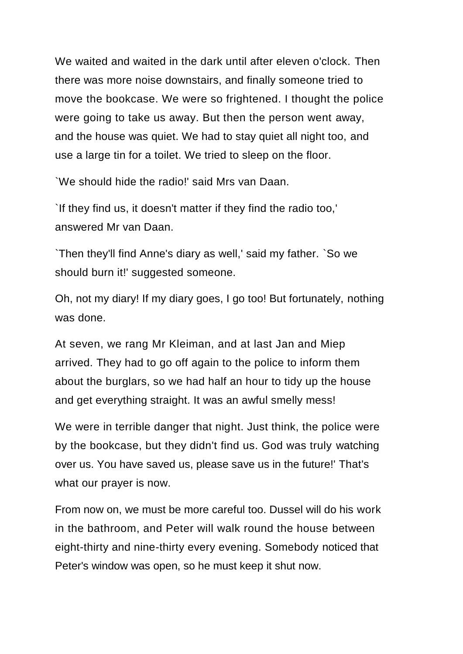We waited and waited in the dark until after eleven o'clock. Then there was more noise downstairs, and finally someone tried to move the bookcase. We were so frightened. I thought the police were going to take us away. But then the person went away, and the house was quiet. We had to stay quiet all night too, and use a large tin for a toilet. We tried to sleep on the floor.

`We should hide the radio!' said Mrs van Daan.

`If they find us, it doesn't matter if they find the radio too,' answered Mr van Daan.

`Then they'll find Anne's diary as well,' said my father. `So we should burn it!' suggested someone.

Oh, not my diary! If my diary goes, I go too! But fortunately, nothing was done.

At seven, we rang Mr Kleiman, and at last Jan and Miep arrived. They had to go off again to the police to inform them about the burglars, so we had half an hour to tidy up the house and get everything straight. It was an awful smelly mess!

We were in terrible danger that night. Just think, the police were by the bookcase, but they didn't find us. God was truly watching over us. You have saved us, please save us in the future!' That's what our prayer is now.

From now on, we must be more careful too. Dussel will do his work in the bathroom, and Peter will walk round the house between eight-thirty and nine-thirty every evening. Somebody noticed that Peter's window was open, so he must keep it shut now.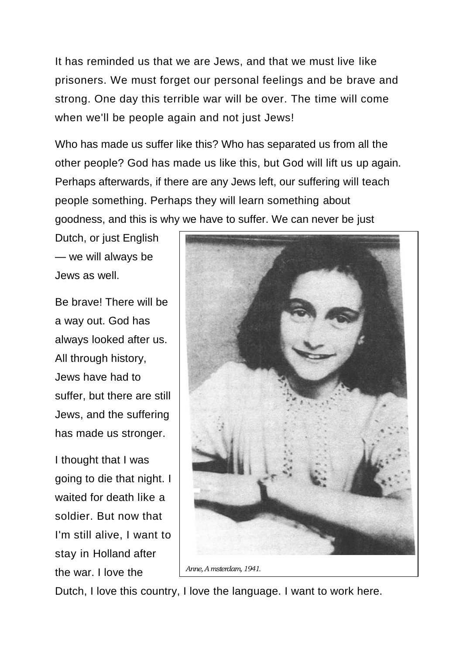It has reminded us that we are Jews, and that we must live like prisoners. We must forget our personal feelings and be brave and strong. One day this terrible war will be over. The time will come when we'll be people again and not just Jews!

Who has made us suffer like this? Who has separated us from all the other people? God has made us like this, but God will lift us up again. Perhaps afterwards, if there are any Jews left, our suffering will teach people something. Perhaps they will learn something about goodness, and this is why we have to suffer. We can never be just

Dutch, or just English — we will always be Jews as well.

Be brave! There will be a way out. God has always looked after us. All through history, Jews have had to suffer, but there are still Jews, and the suffering has made us stronger.

I thought that I was going to die that night. I waited for death like a soldier. But now that I'm still alive, I want to stay in Holland after the war. I love the



Dutch, I love this country, I love the language. I want to work here.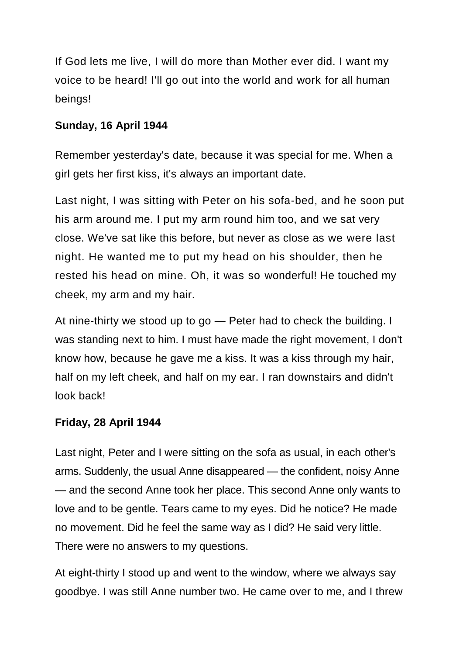If God lets me live, I will do more than Mother ever did. I want my voice to be heard! I'll go out into the world and work for all human beings!

#### **Sunday, 16 April 1944**

Remember yesterday's date, because it was special for me. When a girl gets her first kiss, it's always an important date.

Last night, I was sitting with Peter on his sofa-bed, and he soon put his arm around me. I put my arm round him too, and we sat very close. We've sat like this before, but never as close as we were last night. He wanted me to put my head on his shoulder, then he rested his head on mine. Oh, it was so wonderful! He touched my cheek, my arm and my hair.

At nine-thirty we stood up to go — Peter had to check the building. I was standing next to him. I must have made the right movement, I don't know how, because he gave me a kiss. It was a kiss through my hair, half on my left cheek, and half on my ear. I ran downstairs and didn't look back!

#### **Friday, 28 April 1944**

Last night, Peter and I were sitting on the sofa as usual, in each other's arms. Suddenly, the usual Anne disappeared — the confident, noisy Anne — and the second Anne took her place. This second Anne only wants to love and to be gentle. Tears came to my eyes. Did he notice? He made no movement. Did he feel the same way as I did? He said very little. There were no answers to my questions.

At eight-thirty I stood up and went to the window, where we always say goodbye. I was still Anne number two. He came over to me, and I threw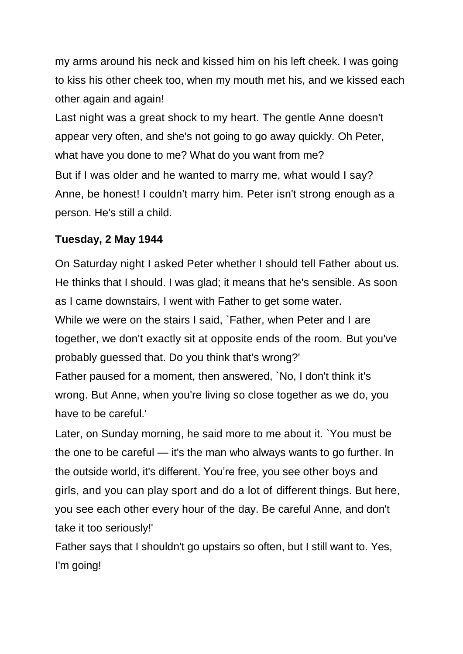my arms around his neck and kissed him on his left cheek. I was going to kiss his other cheek too, when my mouth met his, and we kissed each other again and again!

Last night was a great shock to my heart. The gentle Anne doesn't appear very often, and she's not going to go away quickly. Oh Peter, what have you done to me? What do you want from me?

But if I was older and he wanted to marry me, what would I say? Anne, be honest! I couldn't marry him. Peter isn't strong enough as a person. He's still a child.

### **Tuesday, 2 May 1944**

On Saturday night I asked Peter whether I should tell Father about us. He thinks that I should. I was glad; it means that he's sensible. As soon as I came downstairs, I went with Father to get some water. While we were on the stairs I said, `Father, when Peter and I are together, we don't exactly sit at opposite ends of the room. But you've probably guessed that. Do you think that's wrong?'

Father paused for a moment, then answered, `No, I don't think it's wrong. But Anne, when you're living so close together as we do, you have to be careful.'

Later, on Sunday morning, he said more to me about it. `You must be the one to be careful — it's the man who always wants to go further. In the outside world, it's different. You're free, you see other boys and girls, and you can play sport and do a lot of different things. But here, you see each other every hour of the day. Be careful Anne, and don't take it too seriously!'

Father says that I shouldn't go upstairs so often, but I still want to. Yes, I'm going!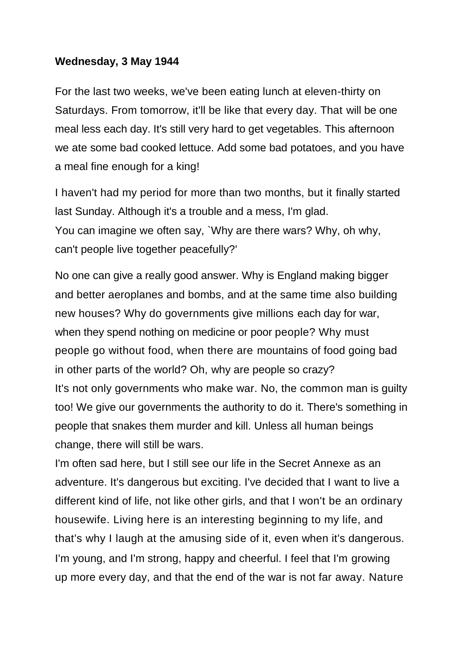#### **Wednesday, 3 May 1944**

For the last two weeks, we've been eating lunch at eleven-thirty on Saturdays. From tomorrow, it'll be like that every day. That will be one meal less each day. It's still very hard to get vegetables. This afternoon we ate some bad cooked lettuce. Add some bad potatoes, and you have a meal fine enough for a king!

I haven't had my period for more than two months, but it finally started last Sunday. Although it's a trouble and a mess, I'm glad. You can imagine we often say, `Why are there wars? Why, oh why, can't people live together peacefully?'

No one can give a really good answer. Why is England making bigger and better aeroplanes and bombs, and at the same time also building new houses? Why do governments give millions each day for war, when they spend nothing on medicine or poor people? Why must people go without food, when there are mountains of food going bad in other parts of the world? Oh, why are people so crazy? It's not only governments who make war. No, the common man is guilty too! We give our governments the authority to do it. There's something in people that snakes them murder and kill. Unless all human beings change, there will still be wars.

I'm often sad here, but I still see our life in the Secret Annexe as an adventure. It's dangerous but exciting. I've decided that I want to live a different kind of life, not like other girls, and that I won't be an ordinary housewife. Living here is an interesting beginning to my life, and that's why I laugh at the amusing side of it, even when it's dangerous. I'm young, and I'm strong, happy and cheerful. I feel that I'm growing up more every day, and that the end of the war is not far away. Nature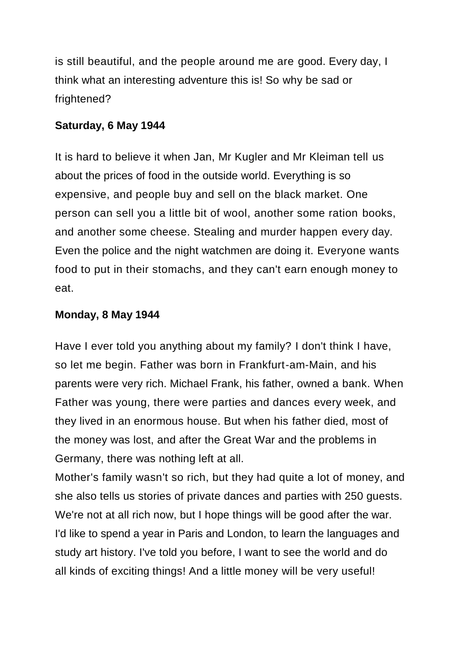is still beautiful, and the people around me are good. Every day, I think what an interesting adventure this is! So why be sad or frightened?

### **Saturday, 6 May 1944**

It is hard to believe it when Jan, Mr Kugler and Mr Kleiman tell us about the prices of food in the outside world. Everything is so expensive, and people buy and sell on the black market. One person can sell you a little bit of wool, another some ration books, and another some cheese. Stealing and murder happen every day. Even the police and the night watchmen are doing it. Everyone wants food to put in their stomachs, and they can't earn enough money to eat.

#### **Monday, 8 May 1944**

Have I ever told you anything about my family? I don't think I have, so let me begin. Father was born in Frankfurt-am-Main, and his parents were very rich. Michael Frank, his father, owned a bank. When Father was young, there were parties and dances every week, and they lived in an enormous house. But when his father died, most of the money was lost, and after the Great War and the problems in Germany, there was nothing left at all.

Mother's family wasn't so rich, but they had quite a lot of money, and she also tells us stories of private dances and parties with 250 guests. We're not at all rich now, but I hope things will be good after the war. I'd like to spend a year in Paris and London, to learn the languages and study art history. I've told you before, I want to see the world and do all kinds of exciting things! And a little money will be very useful!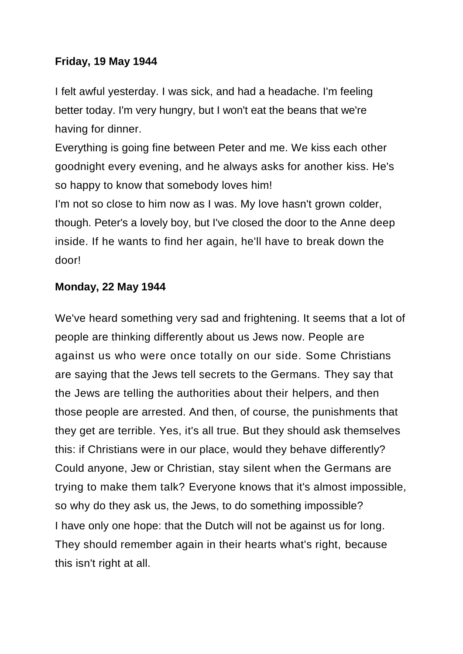### **Friday, 19 May 1944**

I felt awful yesterday. I was sick, and had a headache. I'm feeling better today. I'm very hungry, but I won't eat the beans that we're having for dinner.

Everything is going fine between Peter and me. We kiss each other goodnight every evening, and he always asks for another kiss. He's so happy to know that somebody loves him!

I'm not so close to him now as I was. My love hasn't grown colder, though. Peter's a lovely boy, but I've closed the door to the Anne deep inside. If he wants to find her again, he'll have to break down the door!

#### **Monday, 22 May 1944**

We've heard something very sad and frightening. It seems that a lot of people are thinking differently about us Jews now. People are against us who were once totally on our side. Some Christians are saying that the Jews tell secrets to the Germans. They say that the Jews are telling the authorities about their helpers, and then those people are arrested. And then, of course, the punishments that they get are terrible. Yes, it's all true. But they should ask themselves this: if Christians were in our place, would they behave differently? Could anyone, Jew or Christian, stay silent when the Germans are trying to make them talk? Everyone knows that it's almost impossible, so why do they ask us, the Jews, to do something impossible? I have only one hope: that the Dutch will not be against us for long. They should remember again in their hearts what's right, because this isn't right at all.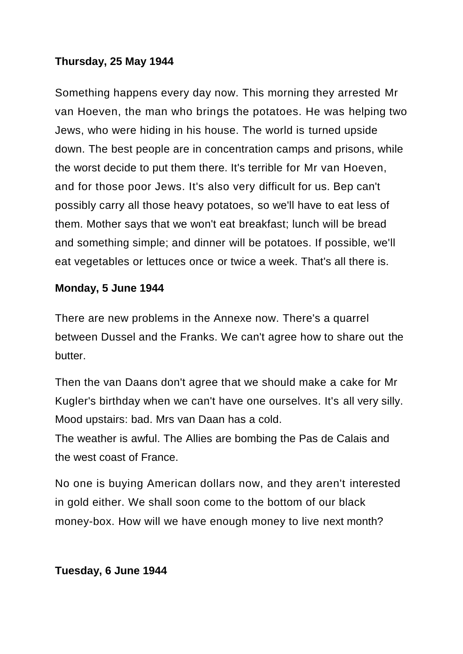#### **Thursday, 25 May 1944**

Something happens every day now. This morning they arrested Mr van Hoeven, the man who brings the potatoes. He was helping two Jews, who were hiding in his house. The world is turned upside down. The best people are in concentration camps and prisons, while the worst decide to put them there. It's terrible for Mr van Hoeven, and for those poor Jews. It's also very difficult for us. Bep can't possibly carry all those heavy potatoes, so we'll have to eat less of them. Mother says that we won't eat breakfast; lunch will be bread and something simple; and dinner will be potatoes. If possible, we'll eat vegetables or lettuces once or twice a week. That's all there is.

#### **Monday, 5 June 1944**

There are new problems in the Annexe now. There's a quarrel between Dussel and the Franks. We can't agree how to share out the butter.

Then the van Daans don't agree that we should make a cake for Mr Kugler's birthday when we can't have one ourselves. It's all very silly. Mood upstairs: bad. Mrs van Daan has a cold.

The weather is awful. The Allies are bombing the Pas de Calais and the west coast of France.

No one is buying American dollars now, and they aren't interested in gold either. We shall soon come to the bottom of our black money-box. How will we have enough money to live next month?

### **Tuesday, 6 June 1944**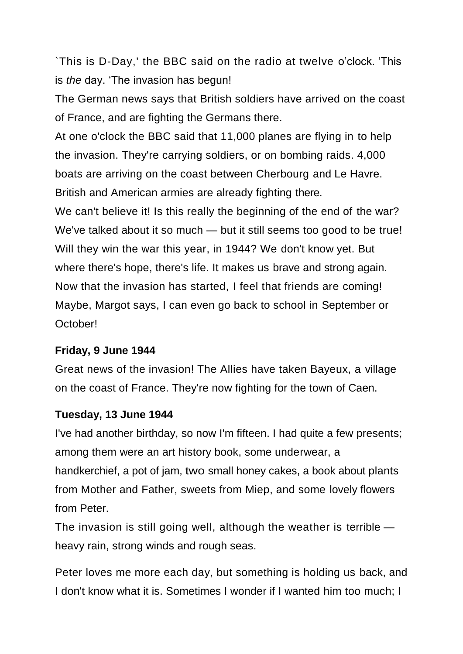`This is D-Day,' the BBC said on the radio at twelve o'clock. 'This is *the* day. 'The invasion has begun!

The German news says that British soldiers have arrived on the coast of France, and are fighting the Germans there.

At one o'clock the BBC said that 11,000 planes are flying in to help the invasion. They're carrying soldiers, or on bombing raids. 4,000 boats are arriving on the coast between Cherbourg and Le Havre. British and American armies are already fighting there.

We can't believe it! Is this really the beginning of the end of the war? We've talked about it so much — but it still seems too good to be true! Will they win the war this year, in 1944? We don't know yet. But where there's hope, there's life. It makes us brave and strong again. Now that the invasion has started, I feel that friends are coming! Maybe, Margot says, I can even go back to school in September or October!

#### **Friday, 9 June 1944**

Great news of the invasion! The Allies have taken Bayeux, a village on the coast of France. They're now fighting for the town of Caen.

#### **Tuesday, 13 June 1944**

I've had another birthday, so now I'm fifteen. I had quite a few presents; among them were an art history book, some underwear, a handkerchief, a pot of jam, two small honey cakes, a book about plants from Mother and Father, sweets from Miep, and some lovely flowers from Peter.

The invasion is still going well, although the weather is terrible heavy rain, strong winds and rough seas.

Peter loves me more each day, but something is holding us back, and I don't know what it is. Sometimes I wonder if I wanted him too much; I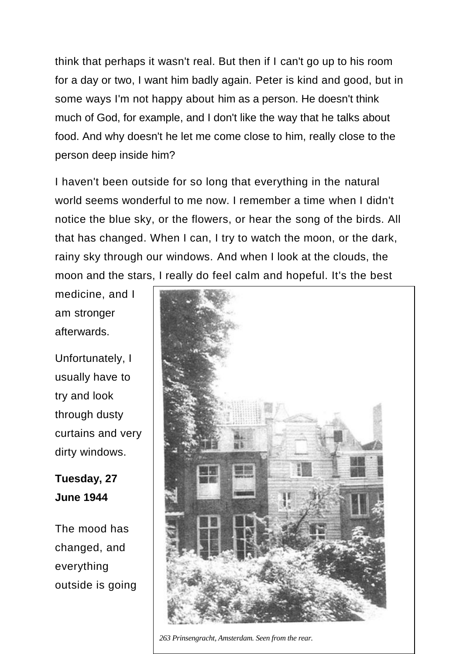think that perhaps it wasn't real. But then if I can't go up to his room for a day or two, I want him badly again. Peter is kind and good, but in some ways I'm not happy about him as a person. He doesn't think much of God, for example, and I don't like the way that he talks about food. And why doesn't he let me come close to him, really close to the person deep inside him?

I haven't been outside for so long that everything in the natural world seems wonderful to me now. I remember a time when I didn't notice the blue sky, or the flowers, or hear the song of the birds. All that has changed. When I can, I try to watch the moon, or the dark, rainy sky through our windows. And when I look at the clouds, the moon and the stars, I really do feel calm and hopeful. It's the best

medicine, and I am stronger afterwards.

Unfortunately, I usually have to try and look through dusty curtains and very dirty windows.

**Tuesday, 27 June 1944**

The mood has changed, and everything outside is going



*263 Prinsengracht, Amsterdam. Seen from the rear.*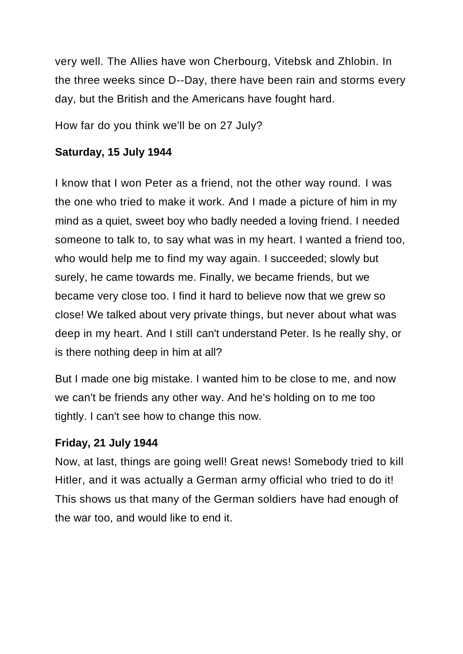very well. The Allies have won Cherbourg, Vitebsk and Zhlobin. In the three weeks since D--Day, there have been rain and storms every day, but the British and the Americans have fought hard.

How far do you think we'll be on 27 July?

### **Saturday, 15 July 1944**

I know that I won Peter as a friend, not the other way round. I was the one who tried to make it work. And I made a picture of him in my mind as a quiet, sweet boy who badly needed a loving friend. I needed someone to talk to, to say what was in my heart. I wanted a friend too, who would help me to find my way again. I succeeded; slowly but surely, he came towards me. Finally, we became friends, but we became very close too. I find it hard to believe now that we grew so close! We talked about very private things, but never about what was deep in my heart. And I still can't understand Peter. Is he really shy, or is there nothing deep in him at all?

But I made one big mistake. I wanted him to be close to me, and now we can't be friends any other way. And he's holding on to me too tightly. I can't see how to change this now.

### **Friday, 21 July 1944**

Now, at last, things are going well! Great news! Somebody tried to kill Hitler, and it was actually a German army official who tried to do it! This shows us that many of the German soldiers have had enough of the war too, and would like to end it.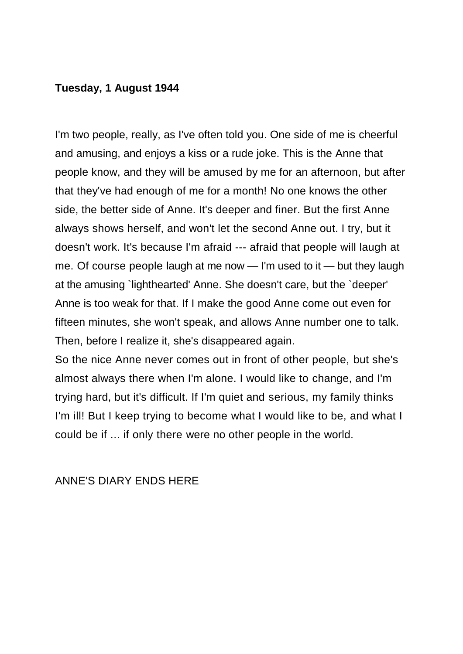#### **Tuesday, 1 August 1944**

I'm two people, really, as I've often told you. One side of me is cheerful and amusing, and enjoys a kiss or a rude joke. This is the Anne that people know, and they will be amused by me for an afternoon, but after that they've had enough of me for a month! No one knows the other side, the better side of Anne. It's deeper and finer. But the first Anne always shows herself, and won't let the second Anne out. I try, but it doesn't work. It's because I'm afraid --- afraid that people will laugh at me. Of course people laugh at me now — I'm used to it — but they laugh at the amusing `lighthearted' Anne. She doesn't care, but the `deeper' Anne is too weak for that. If I make the good Anne come out even for fifteen minutes, she won't speak, and allows Anne number one to talk. Then, before I realize it, she's disappeared again.

So the nice Anne never comes out in front of other people, but she's almost always there when I'm alone. I would like to change, and I'm trying hard, but it's difficult. If I'm quiet and serious, my family thinks I'm ill! But I keep trying to become what I would like to be, and what I could be if ... if only there were no other people in the world.

#### ANNE'S DIARY ENDS HERE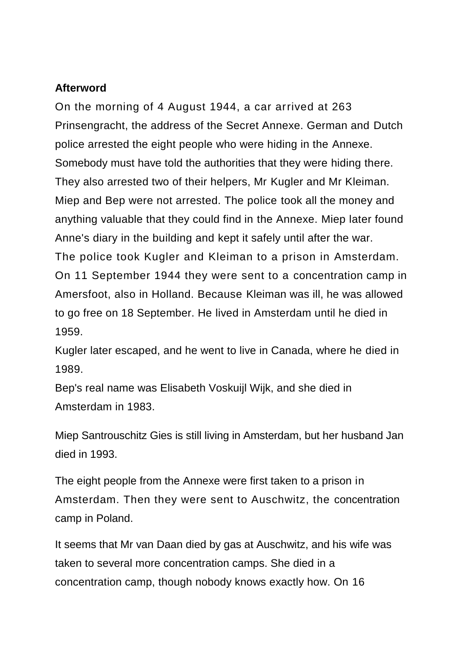#### **Afterword**

On the morning of 4 August 1944, a car arrived at 263 Prinsengracht, the address of the Secret Annexe. German and Dutch police arrested the eight people who were hiding in the Annexe. Somebody must have told the authorities that they were hiding there. They also arrested two of their helpers, Mr Kugler and Mr Kleiman. Miep and Bep were not arrested. The police took all the money and anything valuable that they could find in the Annexe. Miep later found Anne's diary in the building and kept it safely until after the war. The police took Kugler and Kleiman to a prison in Amsterdam. On 11 September 1944 they were sent to a concentration camp in Amersfoot, also in Holland. Because Kleiman was ill, he was allowed to go free on 18 September. He lived in Amsterdam until he died in 1959.

Kugler later escaped, and he went to live in Canada, where he died in 1989.

Bep's real name was Elisabeth Voskuijl Wijk, and she died in Amsterdam in 1983.

Miep Santrouschitz Gies is still living in Amsterdam, but her husband Jan died in 1993.

The eight people from the Annexe were first taken to a prison in Amsterdam. Then they were sent to Auschwitz, the concentration camp in Poland.

It seems that Mr van Daan died by gas at Auschwitz, and his wife was taken to several more concentration camps. She died in a concentration camp, though nobody knows exactly how. On 16